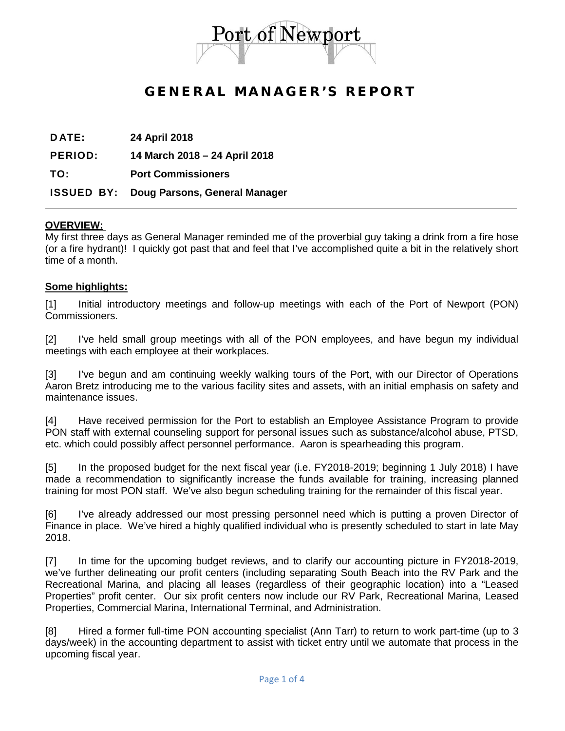

# GENERAL MANAGER'S REPORT

**D ATE: 24 April 2018**

**PERIOD: 14 March 2018 – 24 April 2018**

**TO: Port Commissioners**

### **ISSUED BY: Doug Parsons, General Manager**

### **OVERVIEW:**

My first three days as General Manager reminded me of the proverbial guy taking a drink from a fire hose (or a fire hydrant)! I quickly got past that and feel that I've accomplished quite a bit in the relatively short time of a month.

#### **Some highlights:**

[1] Initial introductory meetings and follow-up meetings with each of the Port of Newport (PON) Commissioners.

[2] I've held small group meetings with all of the PON employees, and have begun my individual meetings with each employee at their workplaces.

[3] I've begun and am continuing weekly walking tours of the Port, with our Director of Operations Aaron Bretz introducing me to the various facility sites and assets, with an initial emphasis on safety and maintenance issues.

[4] Have received permission for the Port to establish an Employee Assistance Program to provide PON staff with external counseling support for personal issues such as substance/alcohol abuse, PTSD, etc. which could possibly affect personnel performance. Aaron is spearheading this program.

[5] In the proposed budget for the next fiscal year (i.e. FY2018-2019; beginning 1 July 2018) I have made a recommendation to significantly increase the funds available for training, increasing planned training for most PON staff. We've also begun scheduling training for the remainder of this fiscal year.

[6] I've already addressed our most pressing personnel need which is putting a proven Director of Finance in place. We've hired a highly qualified individual who is presently scheduled to start in late May 2018.

[7] In time for the upcoming budget reviews, and to clarify our accounting picture in FY2018-2019, we've further delineating our profit centers (including separating South Beach into the RV Park and the Recreational Marina, and placing all leases (regardless of their geographic location) into a "Leased Properties" profit center. Our six profit centers now include our RV Park, Recreational Marina, Leased Properties, Commercial Marina, International Terminal, and Administration.

[8] Hired a former full-time PON accounting specialist (Ann Tarr) to return to work part-time (up to 3 days/week) in the accounting department to assist with ticket entry until we automate that process in the upcoming fiscal year.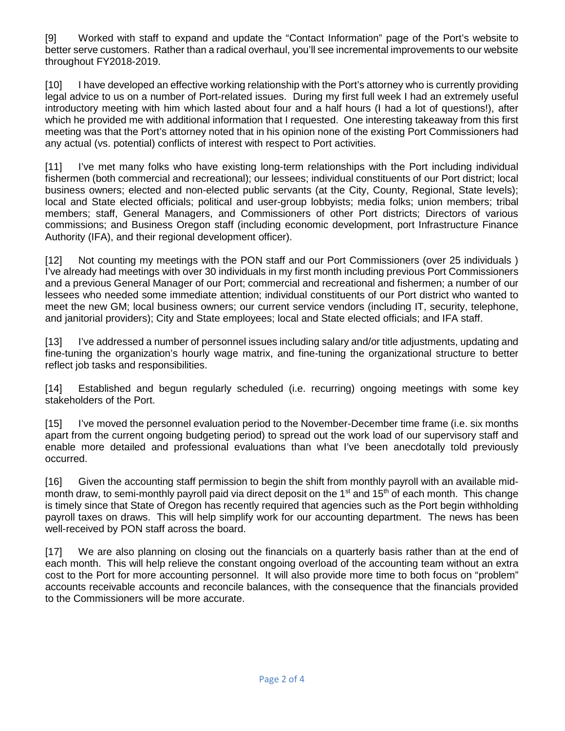[9] Worked with staff to expand and update the "Contact Information" page of the Port's website to better serve customers. Rather than a radical overhaul, you'll see incremental improvements to our website throughout FY2018-2019.

[10] I have developed an effective working relationship with the Port's attorney who is currently providing legal advice to us on a number of Port-related issues. During my first full week I had an extremely useful introductory meeting with him which lasted about four and a half hours (I had a lot of questions!), after which he provided me with additional information that I requested. One interesting takeaway from this first meeting was that the Port's attorney noted that in his opinion none of the existing Port Commissioners had any actual (vs. potential) conflicts of interest with respect to Port activities.

[11] I've met many folks who have existing long-term relationships with the Port including individual fishermen (both commercial and recreational); our lessees; individual constituents of our Port district; local business owners; elected and non-elected public servants (at the City, County, Regional, State levels); local and State elected officials; political and user-group lobbyists; media folks; union members; tribal members; staff, General Managers, and Commissioners of other Port districts; Directors of various commissions; and Business Oregon staff (including economic development, port Infrastructure Finance Authority (IFA), and their regional development officer).

[12] Not counting my meetings with the PON staff and our Port Commissioners (over 25 individuals ) I've already had meetings with over 30 individuals in my first month including previous Port Commissioners and a previous General Manager of our Port; commercial and recreational and fishermen; a number of our lessees who needed some immediate attention; individual constituents of our Port district who wanted to meet the new GM; local business owners; our current service vendors (including IT, security, telephone, and janitorial providers); City and State employees; local and State elected officials; and IFA staff.

[13] I've addressed a number of personnel issues including salary and/or title adjustments, updating and fine-tuning the organization's hourly wage matrix, and fine-tuning the organizational structure to better reflect job tasks and responsibilities.

[14] Established and begun regularly scheduled (i.e. recurring) ongoing meetings with some key stakeholders of the Port.

[15] I've moved the personnel evaluation period to the November-December time frame (i.e. six months apart from the current ongoing budgeting period) to spread out the work load of our supervisory staff and enable more detailed and professional evaluations than what I've been anecdotally told previously occurred.

[16] Given the accounting staff permission to begin the shift from monthly payroll with an available midmonth draw, to semi-monthly payroll paid via direct deposit on the 1<sup>st</sup> and 15<sup>th</sup> of each month. This change is timely since that State of Oregon has recently required that agencies such as the Port begin withholding payroll taxes on draws. This will help simplify work for our accounting department. The news has been well-received by PON staff across the board.

[17] We are also planning on closing out the financials on a quarterly basis rather than at the end of each month. This will help relieve the constant ongoing overload of the accounting team without an extra cost to the Port for more accounting personnel. It will also provide more time to both focus on "problem" accounts receivable accounts and reconcile balances, with the consequence that the financials provided to the Commissioners will be more accurate.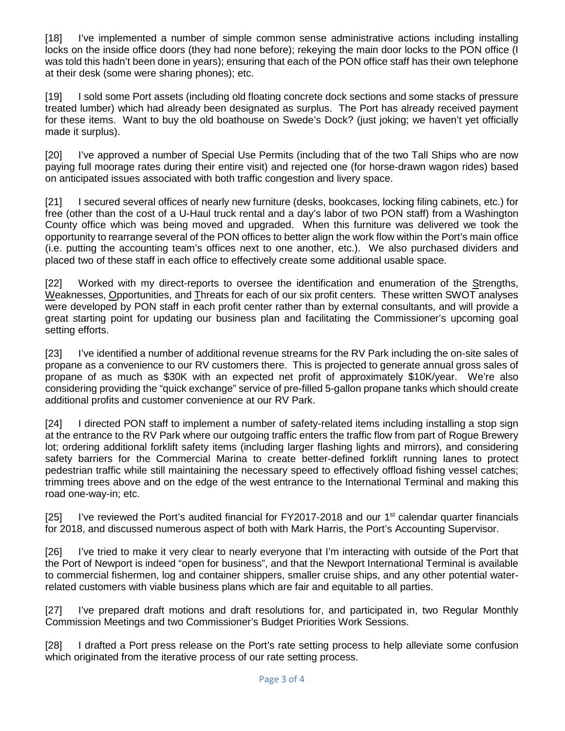[18] I've implemented a number of simple common sense administrative actions including installing locks on the inside office doors (they had none before); rekeying the main door locks to the PON office (I was told this hadn't been done in years); ensuring that each of the PON office staff has their own telephone at their desk (some were sharing phones); etc.

[19] I sold some Port assets (including old floating concrete dock sections and some stacks of pressure treated lumber) which had already been designated as surplus. The Port has already received payment for these items. Want to buy the old boathouse on Swede's Dock? (just joking; we haven't yet officially made it surplus).

[20] I've approved a number of Special Use Permits (including that of the two Tall Ships who are now paying full moorage rates during their entire visit) and rejected one (for horse-drawn wagon rides) based on anticipated issues associated with both traffic congestion and livery space.

[21] I secured several offices of nearly new furniture (desks, bookcases, locking filing cabinets, etc.) for free (other than the cost of a U-Haul truck rental and a day's labor of two PON staff) from a Washington County office which was being moved and upgraded. When this furniture was delivered we took the opportunity to rearrange several of the PON offices to better align the work flow within the Port's main office (i.e. putting the accounting team's offices next to one another, etc.). We also purchased dividers and placed two of these staff in each office to effectively create some additional usable space.

[22] Worked with my direct-reports to oversee the identification and enumeration of the Strengths, Weaknesses, Opportunities, and Threats for each of our six profit centers. These written SWOT analyses were developed by PON staff in each profit center rather than by external consultants, and will provide a great starting point for updating our business plan and facilitating the Commissioner's upcoming goal setting efforts.

[23] I've identified a number of additional revenue streams for the RV Park including the on-site sales of propane as a convenience to our RV customers there. This is projected to generate annual gross sales of propane of as much as \$30K with an expected net profit of approximately \$10K/year. We're also considering providing the "quick exchange" service of pre-filled 5-gallon propane tanks which should create additional profits and customer convenience at our RV Park.

[24] I directed PON staff to implement a number of safety-related items including installing a stop sign at the entrance to the RV Park where our outgoing traffic enters the traffic flow from part of Rogue Brewery lot; ordering additional forklift safety items (including larger flashing lights and mirrors), and considering safety barriers for the Commercial Marina to create better-defined forklift running lanes to protect pedestrian traffic while still maintaining the necessary speed to effectively offload fishing vessel catches; trimming trees above and on the edge of the west entrance to the International Terminal and making this road one-way-in; etc.

[25] I've reviewed the Port's audited financial for FY2017-2018 and our  $1<sup>st</sup>$  calendar quarter financials for 2018, and discussed numerous aspect of both with Mark Harris, the Port's Accounting Supervisor.

[26] I've tried to make it very clear to nearly everyone that I'm interacting with outside of the Port that the Port of Newport is indeed "open for business", and that the Newport International Terminal is available to commercial fishermen, log and container shippers, smaller cruise ships, and any other potential waterrelated customers with viable business plans which are fair and equitable to all parties.

[27] I've prepared draft motions and draft resolutions for, and participated in, two Regular Monthly Commission Meetings and two Commissioner's Budget Priorities Work Sessions.

[28] I drafted a Port press release on the Port's rate setting process to help alleviate some confusion which originated from the iterative process of our rate setting process.